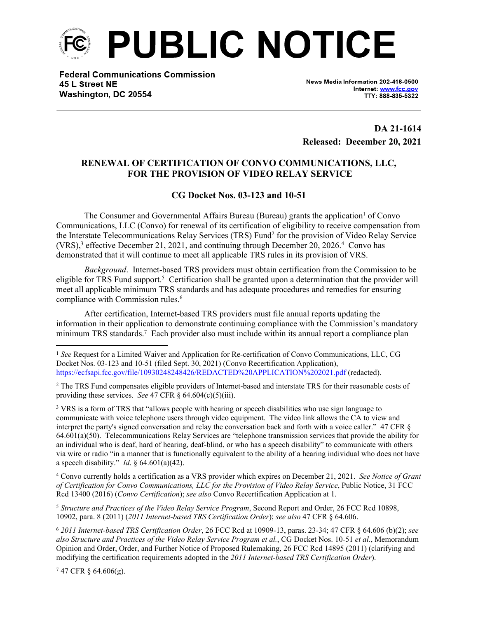

**Federal Communications Commission** 45 L Street NE Washington, DC 20554

News Media Information 202-418-0500 Internet: www.fcc.gov TTY: 888-835-5322

**DA 21-1614 Released: December 20, 2021**

## **RENEWAL OF CERTIFICATION OF CONVO COMMUNICATIONS, LLC, FOR THE PROVISION OF VIDEO RELAY SERVICE**

## **CG Docket Nos. 03-123 and 10-51**

The Consumer and Governmental Affairs Bureau (Bureau) grants the application<sup>1</sup> of Convo Communications, LLC (Convo) for renewal of its certification of eligibility to receive compensation from the Interstate Telecommunications Relay Services (TRS) Fund<sup>2</sup> for the provision of Video Relay Service (VRS),<sup>3</sup> effective December 21, 2021, and continuing through December 20, 2026.<sup>4</sup> Convo has demonstrated that it will continue to meet all applicable TRS rules in its provision of VRS.

*Background*. Internet-based TRS providers must obtain certification from the Commission to be eligible for TRS Fund support.<sup>5</sup> Certification shall be granted upon a determination that the provider will meet all applicable minimum TRS standards and has adequate procedures and remedies for ensuring compliance with Commission rules.<sup>6</sup>

After certification, Internet-based TRS providers must file annual reports updating the information in their application to demonstrate continuing compliance with the Commission's mandatory minimum TRS standards.<sup>7</sup> Each provider also must include within its annual report a compliance plan

<sup>2</sup> The TRS Fund compensates eligible providers of Internet-based and interstate TRS for their reasonable costs of providing these services. *See* 47 CFR  $\S$  64.604(c)(5)(iii).

<sup>3</sup> VRS is a form of TRS that "allows people with hearing or speech disabilities who use sign language to communicate with voice telephone users through video equipment. The video link allows the CA to view and interpret the party's signed conversation and relay the conversation back and forth with a voice caller." 47 CFR § 64.601(a)(50). Telecommunications Relay Services are "telephone transmission services that provide the ability for an individual who is deaf, hard of hearing, deaf-blind, or who has a speech disability" to communicate with others via wire or radio "in a manner that is functionally equivalent to the ability of a hearing individual who does not have a speech disability." *Id*. § 64.601(a)(42).

4 Convo currently holds a certification as a VRS provider which expires on December 21, 2021. *See Notice of Grant of Certification for Convo Communications, LLC for the Provision of Video Relay Service*, Public Notice, 31 FCC Rcd 13400 (2016) (*Convo Certification*); *see also* Convo Recertification Application at 1.

<sup>5</sup> *Structure and Practices of the Video Relay Service Program*, Second Report and Order, 26 FCC Rcd 10898, 10902, para. 8 (2011) (*2011 Internet-based TRS Certification Order*); *see also* 47 CFR § 64.606.

<sup>6</sup> *2011 Internet-based TRS Certification Order*, 26 FCC Rcd at 10909-13, paras. 23-34; 47 CFR § 64.606 (b)(2); *see also Structure and Practices of the Video Relay Service Program et al.*, CG Docket Nos. 10-51 *et al.*, Memorandum Opinion and Order, Order, and Further Notice of Proposed Rulemaking, 26 FCC Rcd 14895 (2011) (clarifying and modifying the certification requirements adopted in the *2011 Internet-based TRS Certification Order*).

 $747$  CFR § 64.606(g).

<sup>1</sup> *See* Request for a Limited Waiver and Application for Re-certification of Convo Communications, LLC, CG Docket Nos. 03-123 and 10-51 (filed Sept. 30, 2021) (Convo Recertification Application), https://ecfsapi.fcc.gov/file/10930248248426/REDACTED%20APPLICATION%202021.pdf (redacted).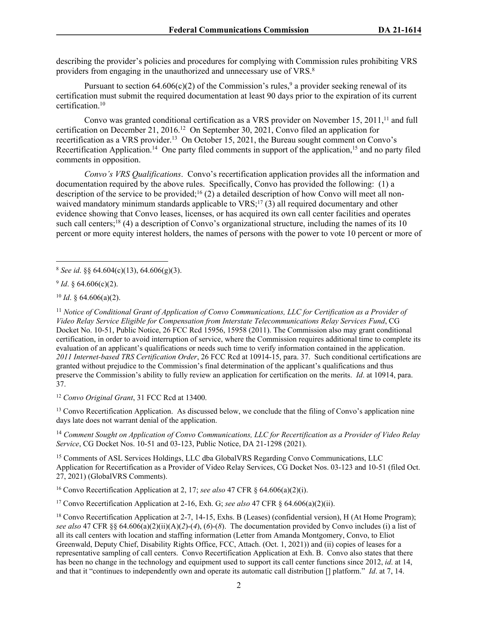describing the provider's policies and procedures for complying with Commission rules prohibiting VRS providers from engaging in the unauthorized and unnecessary use of VRS.<sup>8</sup>

Pursuant to section  $64.606(c)(2)$  of the Commission's rules,<sup>9</sup> a provider seeking renewal of its certification must submit the required documentation at least 90 days prior to the expiration of its current certification.<sup>10</sup>

Convo was granted conditional certification as a VRS provider on November 15, 2011,<sup>11</sup> and full certification on December 21, 2016.<sup>12</sup> On September 30, 2021, Convo filed an application for recertification as a VRS provider.<sup>13</sup> On October 15, 2021, the Bureau sought comment on Convo's Recertification Application.<sup>14</sup> One party filed comments in support of the application,<sup>15</sup> and no party filed comments in opposition.

*Convo's VRS Qualifications*. Convo's recertification application provides all the information and documentation required by the above rules. Specifically, Convo has provided the following: (1) a description of the service to be provided;<sup>16</sup> (2) a detailed description of how Convo will meet all nonwaived mandatory minimum standards applicable to  $VRS$ ;<sup>17</sup>(3) all required documentary and other evidence showing that Convo leases, licenses, or has acquired its own call center facilities and operates such call centers;<sup>18</sup> (4) a description of Convo's organizational structure, including the names of its 10 percent or more equity interest holders, the names of persons with the power to vote 10 percent or more of

9 *Id*. § 64.606(c)(2).

<sup>10</sup> *Id*. § 64.606(a)(2).

<sup>11</sup> *Notice of Conditional Grant of Application of Convo Communications, LLC for Certification as a Provider of Video Relay Service Eligible for Compensation from Interstate Telecommunications Relay Services Fund*, CG Docket No. 10-51, Public Notice, 26 FCC Rcd 15956, 15958 (2011). The Commission also may grant conditional certification, in order to avoid interruption of service, where the Commission requires additional time to complete its evaluation of an applicant's qualifications or needs such time to verify information contained in the application. *2011 Internet-based TRS Certification Order*, 26 FCC Rcd at 10914-15, para. 37. Such conditional certifications are granted without prejudice to the Commission's final determination of the applicant's qualifications and thus preserve the Commission's ability to fully review an application for certification on the merits. *Id*. at 10914, para. 37.

<sup>12</sup> *Convo Original Grant*, 31 FCC Rcd at 13400.

<sup>13</sup> Convo Recertification Application. As discussed below, we conclude that the filing of Convo's application nine days late does not warrant denial of the application.

<sup>14</sup> *Comment Sought on Application of Convo Communications, LLC for Recertification as a Provider of Video Relay Service*, CG Docket Nos. 10-51 and 03-123, Public Notice, DA 21-1298 (2021).

<sup>15</sup> Comments of ASL Services Holdings, LLC dba GlobalVRS Regarding Convo Communications, LLC Application for Recertification as a Provider of Video Relay Services, CG Docket Nos. 03-123 and 10-51 (filed Oct. 27, 2021) (GlobalVRS Comments).

<sup>16</sup> Convo Recertification Application at 2, 17; *see also* 47 CFR § 64.606(a)(2)(i).

<sup>17</sup> Convo Recertification Application at 2-16, Exh. G; *see also* 47 CFR § 64.606(a)(2)(ii).

<sup>8</sup> *See id*. §§ 64.604(c)(13), 64.606(g)(3).

<sup>&</sup>lt;sup>18</sup> Convo Recertification Application at 2-7, 14-15, Exhs. B (Leases) (confidential version), H (At Home Program); *see also* 47 CFR §§ 64.606(a)(2)(ii)(A)(*2*)-(*4*), (*6*)-(*8*). The documentation provided by Convo includes (i) a list of all its call centers with location and staffing information (Letter from Amanda Montgomery, Convo, to Eliot Greenwald, Deputy Chief, Disability Rights Office, FCC, Attach. (Oct. 1, 2021)) and (ii) copies of leases for a representative sampling of call centers. Convo Recertification Application at Exh. B. Convo also states that there has been no change in the technology and equipment used to support its call center functions since 2012, *id*. at 14, and that it "continues to independently own and operate its automatic call distribution [] platform." *Id*. at 7, 14.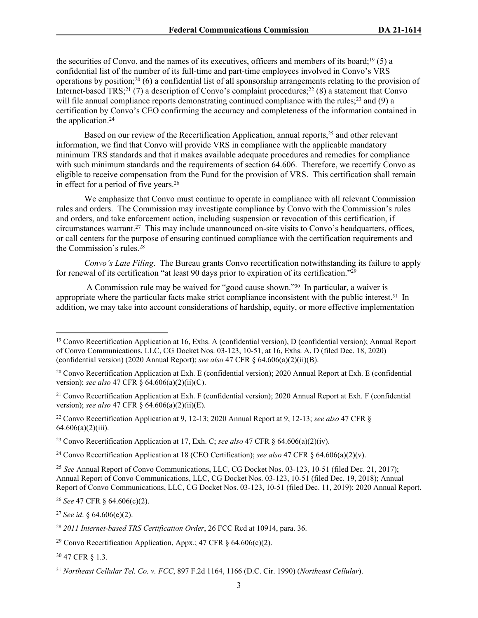the securities of Convo, and the names of its executives, officers and members of its board;<sup>19</sup> (5) a confidential list of the number of its full-time and part-time employees involved in Convo's VRS operations by position;<sup>20</sup> (6) a confidential list of all sponsorship arrangements relating to the provision of Internet-based TRS;<sup>21</sup> (7) a description of Convo's complaint procedures;<sup>22</sup> (8) a statement that Convo will file annual compliance reports demonstrating continued compliance with the rules;<sup>23</sup> and (9) a certification by Convo's CEO confirming the accuracy and completeness of the information contained in the application.<sup>24</sup>

Based on our review of the Recertification Application, annual reports,<sup>25</sup> and other relevant information, we find that Convo will provide VRS in compliance with the applicable mandatory minimum TRS standards and that it makes available adequate procedures and remedies for compliance with such minimum standards and the requirements of section 64.606. Therefore, we recertify Convo as eligible to receive compensation from the Fund for the provision of VRS. This certification shall remain in effect for a period of five years.<sup>26</sup>

We emphasize that Convo must continue to operate in compliance with all relevant Commission rules and orders. The Commission may investigate compliance by Convo with the Commission's rules and orders, and take enforcement action, including suspension or revocation of this certification, if circumstances warrant.<sup>27</sup> This may include unannounced on-site visits to Convo's headquarters, offices, or call centers for the purpose of ensuring continued compliance with the certification requirements and the Commission's rules.<sup>28</sup>

*Convo's Late Filing*. The Bureau grants Convo recertification notwithstanding its failure to apply for renewal of its certification "at least 90 days prior to expiration of its certification."<sup>29</sup>

 A Commission rule may be waived for "good cause shown."30 In particular, a waiver is appropriate where the particular facts make strict compliance inconsistent with the public interest.31 In addition, we may take into account considerations of hardship, equity, or more effective implementation

<sup>22</sup> Convo Recertification Application at 9, 12-13; 2020 Annual Report at 9, 12-13; *see also* 47 CFR § 64.606(a)(2)(iii).

<sup>23</sup> Convo Recertification Application at 17, Exh. C; *see also* 47 CFR § 64.606(a)(2)(iv).

<sup>24</sup> Convo Recertification Application at 18 (CEO Certification); *see also* 47 CFR § 64.606(a)(2)(v).

<sup>25</sup> *See* Annual Report of Convo Communications, LLC, CG Docket Nos. 03-123, 10-51 (filed Dec. 21, 2017); Annual Report of Convo Communications, LLC, CG Docket Nos. 03-123, 10-51 (filed Dec. 19, 2018); Annual Report of Convo Communications, LLC, CG Docket Nos. 03-123, 10-51 (filed Dec. 11, 2019); 2020 Annual Report.

<sup>26</sup> *See* 47 CFR § 64.606(c)(2).

<sup>27</sup> *See id*. § 64.606(e)(2).

<sup>30</sup> 47 CFR § 1.3.

<sup>19</sup> Convo Recertification Application at 16, Exhs. A (confidential version), D (confidential version); Annual Report of Convo Communications, LLC, CG Docket Nos. 03-123, 10-51, at 16, Exhs. A, D (filed Dec. 18, 2020) (confidential version) (2020 Annual Report); *see also* 47 CFR § 64.606(a)(2)(ii)(B).

<sup>20</sup> Convo Recertification Application at Exh. E (confidential version); 2020 Annual Report at Exh. E (confidential version); *see also* 47 CFR § 64.606(a)(2)(ii)(C).

<sup>21</sup> Convo Recertification Application at Exh. F (confidential version); 2020 Annual Report at Exh. F (confidential version); *see also* 47 CFR § 64.606(a)(2)(ii)(E).

<sup>28</sup> *2011 Internet-based TRS Certification Order*, 26 FCC Rcd at 10914, para. 36.

<sup>&</sup>lt;sup>29</sup> Convo Recertification Application, Appx.; 47 CFR  $\S$  64.606(c)(2).

<sup>31</sup> *Northeast Cellular Tel. Co. v. FCC*, 897 F.2d 1164, 1166 (D.C. Cir. 1990) (*Northeast Cellular*).